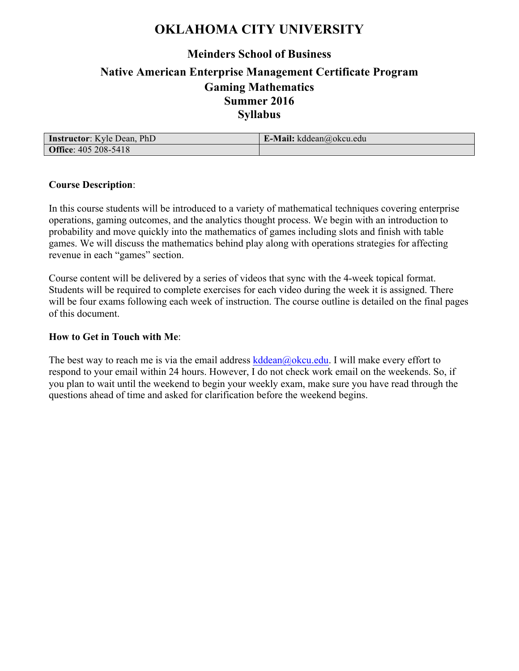## **OKLAHOMA CITY UNIVERSITY**

## **Meinders School of Business**

## **Native American Enterprise Management Certificate Program Gaming Mathematics Summer 2016 Syllabus**

| <b>Instructor:</b> Kyle Dean, PhD | <b>E-Mail:</b> kddean@okcu.edu |
|-----------------------------------|--------------------------------|
| <b>Office: 405 208-5418</b>       |                                |

#### **Course Description**:

In this course students will be introduced to a variety of mathematical techniques covering enterprise operations, gaming outcomes, and the analytics thought process. We begin with an introduction to probability and move quickly into the mathematics of games including slots and finish with table games. We will discuss the mathematics behind play along with operations strategies for affecting revenue in each "games" section.

Course content will be delivered by a series of videos that sync with the 4-week topical format. Students will be required to complete exercises for each video during the week it is assigned. There will be four exams following each week of instruction. The course outline is detailed on the final pages of this document.

#### **How to Get in Touch with Me**:

The best way to reach me is via the email address kddean@okcu.edu. I will make every effort to respond to your email within 24 hours. However, I do not check work email on the weekends. So, if you plan to wait until the weekend to begin your weekly exam, make sure you have read through the questions ahead of time and asked for clarification before the weekend begins.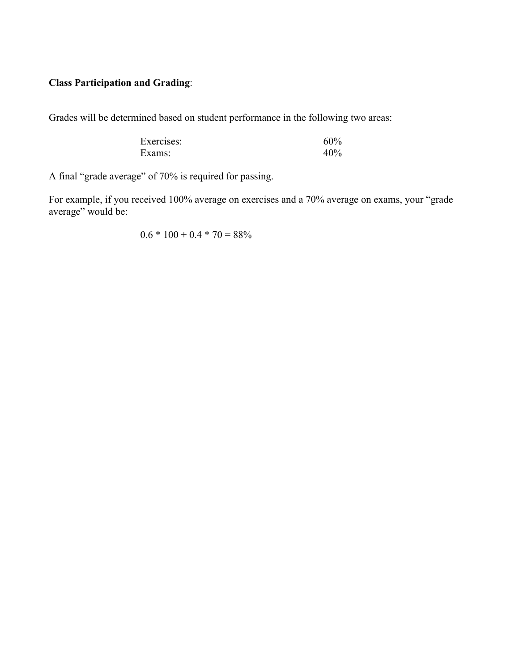### **Class Participation and Grading**:

Grades will be determined based on student performance in the following two areas:

| Exercises: | 60% |
|------------|-----|
| Exams:     | 40% |

A final "grade average" of 70% is required for passing.

For example, if you received 100% average on exercises and a 70% average on exams, your "grade average" would be:

 $0.6 * 100 + 0.4 * 70 = 88\%$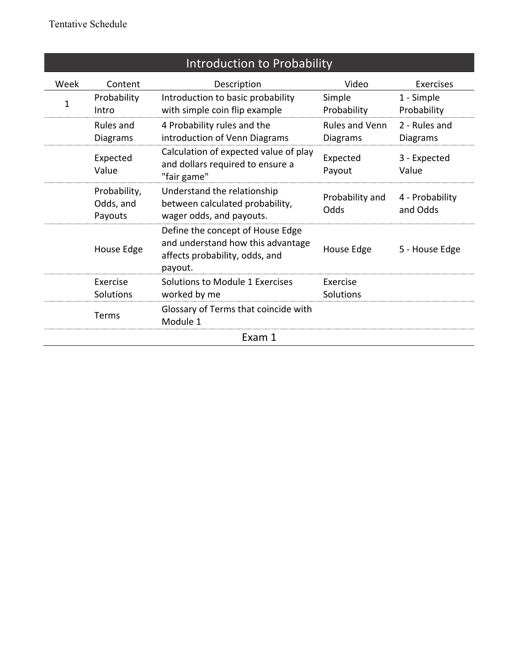| Introduction to Probability |                                      |                                                                                                                    |                                   |                                  |
|-----------------------------|--------------------------------------|--------------------------------------------------------------------------------------------------------------------|-----------------------------------|----------------------------------|
| Week                        | Content                              | Description                                                                                                        | Video                             | Exercises                        |
| 1                           | Probability<br>Intro                 | Introduction to basic probability<br>with simple coin flip example                                                 | Simple<br>Probability             | 1 - Simple<br>Probability        |
|                             | Rules and<br><b>Diagrams</b>         | 4 Probability rules and the<br>introduction of Venn Diagrams                                                       | Rules and Venn<br><b>Diagrams</b> | 2 - Rules and<br><b>Diagrams</b> |
|                             | Expected<br>Value                    | Calculation of expected value of play<br>and dollars required to ensure a<br>"fair game"                           | Expected<br>Payout                | 3 - Expected<br>Value            |
|                             | Probability,<br>Odds, and<br>Payouts | Understand the relationship<br>between calculated probability,<br>wager odds, and payouts.                         | Probability and<br>Odds           | 4 - Probability<br>and Odds      |
|                             | House Edge                           | Define the concept of House Edge<br>and understand how this advantage<br>affects probability, odds, and<br>payout. | House Edge                        | 5 - House Edge                   |
|                             | Exercise<br>Solutions                | Solutions to Module 1 Exercises<br>worked by me                                                                    | Exercise<br>Solutions             |                                  |
|                             | Terms                                | Glossary of Terms that coincide with<br>Module 1                                                                   |                                   |                                  |
| Exam 1                      |                                      |                                                                                                                    |                                   |                                  |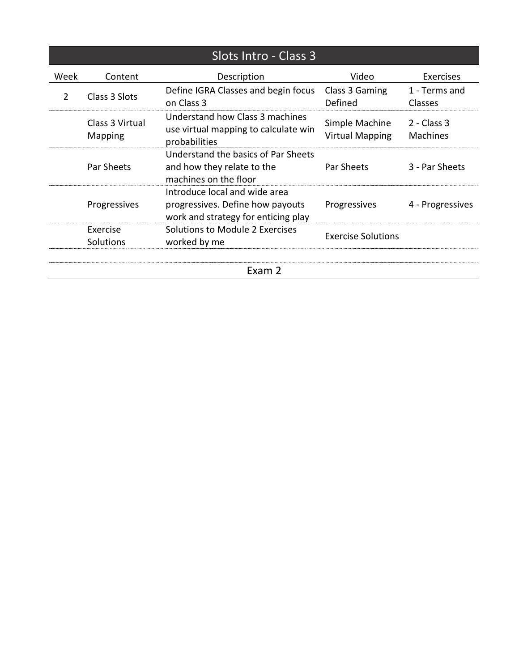| Slots Intro - Class 3 |                            |                                                                                                          |                                          |                                  |
|-----------------------|----------------------------|----------------------------------------------------------------------------------------------------------|------------------------------------------|----------------------------------|
| Week                  | Content                    | Description                                                                                              | Video                                    | <b>Exercises</b>                 |
| $\mathcal{P}$         | Class 3 Slots              | Define IGRA Classes and begin focus<br>on Class 3                                                        | Class 3 Gaming<br>Defined                | 1 - Terms and<br><b>Classes</b>  |
|                       | Class 3 Virtual<br>Mapping | Understand how Class 3 machines<br>use virtual mapping to calculate win<br>probabilities                 | Simple Machine<br><b>Virtual Mapping</b> | $2 - Class 3$<br><b>Machines</b> |
|                       | Par Sheets                 | Understand the basics of Par Sheets<br>and how they relate to the<br>machines on the floor               | Par Sheets                               | 3 - Par Sheets                   |
|                       | Progressives               | Introduce local and wide area<br>progressives. Define how payouts<br>work and strategy for enticing play | Progressives                             | 4 - Progressives                 |
|                       | Exercise<br>Solutions      | Solutions to Module 2 Exercises<br>worked by me                                                          | <b>Exercise Solutions</b>                |                                  |
| Exam 2                |                            |                                                                                                          |                                          |                                  |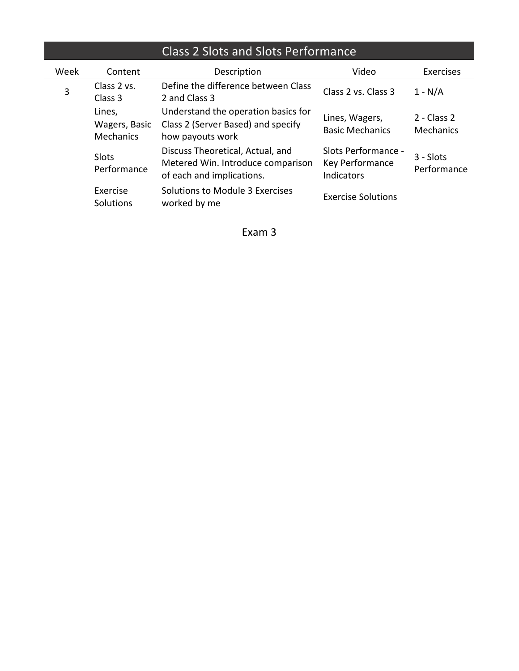# Class 2 Slots and Slots Performance

 $\overline{\phantom{a}}$ 

| Week | Content                              | Description                                                                                        | Video                                                       | Exercises                         |
|------|--------------------------------------|----------------------------------------------------------------------------------------------------|-------------------------------------------------------------|-----------------------------------|
| 3    | Class 2 vs.<br>Class 3               | Define the difference between Class<br>2 and Class 3                                               | Class 2 vs. Class 3                                         | $1 - N/A$                         |
|      | Lines,<br>Wagers, Basic<br>Mechanics | Understand the operation basics for<br>Class 2 (Server Based) and specify<br>how payouts work      | Lines, Wagers,<br><b>Basic Mechanics</b>                    | $2 - Class 2$<br><b>Mechanics</b> |
|      | Slots<br>Performance                 | Discuss Theoretical, Actual, and<br>Metered Win. Introduce comparison<br>of each and implications. | Slots Performance -<br>Key Performance<br><b>Indicators</b> | $3 - Slots$<br>Performance        |
|      | Exercise<br>Solutions                | Solutions to Module 3 Exercises<br>worked by me                                                    | <b>Exercise Solutions</b>                                   |                                   |

Exam 3